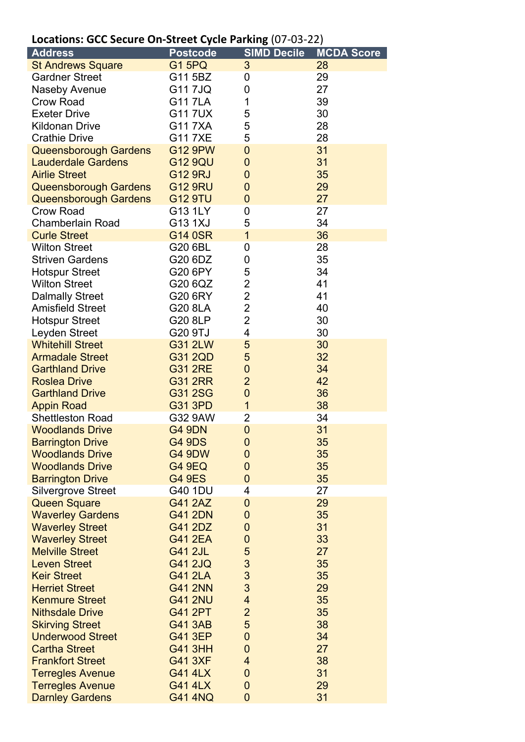## **Locations: GCC Secure On-Street Cycle Parking** (07-03-22)

| <b>Address</b>                              | <b>Postcode</b>                  | <b>SIMD Decile</b>                         | <b>MCDA Score</b> |
|---------------------------------------------|----------------------------------|--------------------------------------------|-------------------|
| <b>St Andrews Square</b>                    | <b>G1 5PQ</b>                    | 3                                          | 28                |
| <b>Gardner Street</b>                       | G11 5BZ                          | 0                                          | 29                |
| <b>Naseby Avenue</b>                        | G11 7JQ                          | 0                                          | 27                |
| <b>Crow Road</b>                            | <b>G117LA</b>                    | 1                                          | 39                |
| <b>Exeter Drive</b>                         | <b>G117UX</b>                    | 5                                          | 30                |
| <b>Kildonan Drive</b>                       | G117XA                           | 5                                          | 28                |
| <b>Crathie Drive</b>                        | G117XE                           | 5                                          | 28                |
| <b>Queensborough Gardens</b>                | <b>G12 9PW</b>                   | $\mathbf 0$                                | 31                |
| <b>Lauderdale Gardens</b>                   | <b>G12 9QU</b>                   | $\mathbf 0$                                | 31                |
| <b>Airlie Street</b>                        | <b>G12 9RJ</b>                   | $\mathbf 0$                                | 35                |
| <b>Queensborough Gardens</b>                | <b>G12 9RU</b>                   | $\mathbf 0$                                | 29                |
| <b>Queensborough Gardens</b>                | <b>G12 9TU</b>                   | $\overline{0}$                             | 27                |
| <b>Crow Road</b>                            | G13 1LY                          | 0                                          | 27                |
| <b>Chamberlain Road</b>                     | G13 1XJ                          | 5                                          | 34                |
| <b>Curle Street</b>                         | G14 0SR                          | $\mathbf{1}$                               | 36                |
| <b>Wilton Street</b>                        | G20 6BL                          | 0                                          | 28                |
| <b>Striven Gardens</b>                      | G20 6DZ                          | 0                                          | 35                |
| <b>Hotspur Street</b>                       | G20 6PY                          | 5                                          | 34                |
| <b>Wilton Street</b>                        | G20 6QZ                          | $\overline{2}$                             | 41                |
| <b>Dalmally Street</b>                      | G20 6RY                          | $\overline{2}$                             | 41                |
| <b>Amisfield Street</b>                     | G20 8LA                          | $\overline{2}$                             | 40                |
| <b>Hotspur Street</b>                       | G20 8LP                          | $\overline{2}$                             | 30                |
| Leyden Street                               | G20 9TJ                          | $\overline{\mathbf{4}}$                    | 30                |
| <b>Whitehill Street</b>                     | G31 2LW                          | 5                                          | 30                |
| <b>Armadale Street</b>                      | G31 2QD                          | 5                                          | 32                |
| <b>Garthland Drive</b>                      | <b>G31 2RE</b>                   | $\mathbf 0$                                | 34                |
| <b>Roslea Drive</b>                         | <b>G31 2RR</b>                   | $\overline{2}$                             | 42                |
| <b>Garthland Drive</b>                      | G31 2SG                          | $\mathbf 0$                                | 36                |
| <b>Appin Road</b>                           | <b>G31 3PD</b>                   | $\mathbf{1}$                               | 38                |
| <b>Shettleston Road</b>                     | G32 9AW                          | $\overline{2}$                             | 34                |
| <b>Woodlands Drive</b>                      | <b>G4 9DN</b>                    | $\overline{0}$                             | 31                |
| <b>Barrington Drive</b>                     | <b>G4 9DS</b>                    | $\mathbf 0$                                | 35                |
| <b>Woodlands Drive</b>                      | <b>G4 9DW</b>                    | $\mathbf 0$                                | 35                |
| <b>Woodlands Drive</b>                      | <b>G4 9EQ</b>                    | $\mathbf 0$                                | 35                |
| <b>Barrington Drive</b>                     | <b>G4 9ES</b>                    | $\overline{0}$                             | 35                |
| <b>Silvergrove Street</b>                   | G40 1DU                          | 4                                          | 27                |
| <b>Queen Square</b>                         | <b>G41 2AZ</b>                   | $\mathbf 0$                                | 29                |
| <b>Waverley Gardens</b>                     | <b>G41 2DN</b>                   | 0                                          | 35                |
| <b>Waverley Street</b>                      | G41 2DZ                          | $\mathbf 0$                                | 31                |
| <b>Waverley Street</b>                      | <b>G41 2EA</b>                   | 0                                          | 33                |
| <b>Melville Street</b>                      | <b>G41 2JL</b>                   | 5                                          | 27                |
| <b>Leven Street</b>                         | <b>G41 2JQ</b>                   | 3                                          | 35                |
| <b>Keir Street</b><br><b>Herriet Street</b> | <b>G41 2LA</b>                   | 3<br>3                                     | 35                |
| <b>Kenmure Street</b>                       | <b>G41 2NN</b><br><b>G41 2NU</b> |                                            | 29                |
| <b>Nithsdale Drive</b>                      | <b>G41 2PT</b>                   | $\overline{\mathcal{A}}$<br>$\overline{2}$ | 35<br>35          |
| <b>Skirving Street</b>                      | <b>G41 3AB</b>                   | 5                                          | 38                |
| <b>Underwood Street</b>                     | <b>G41 3EP</b>                   | $\mathbf 0$                                | 34                |
| <b>Cartha Street</b>                        | <b>G41 3HH</b>                   | $\mathbf 0$                                | 27                |
| <b>Frankfort Street</b>                     | <b>G41 3XF</b>                   | 4                                          | 38                |
| <b>Terregles Avenue</b>                     | <b>G41 4LX</b>                   | $\mathbf 0$                                | 31                |
| <b>Terregles Avenue</b>                     | <b>G41 4LX</b>                   | $\mathbf 0$                                | 29                |
| <b>Darnley Gardens</b>                      | <b>G41 4NQ</b>                   | $\overline{0}$                             | 31                |